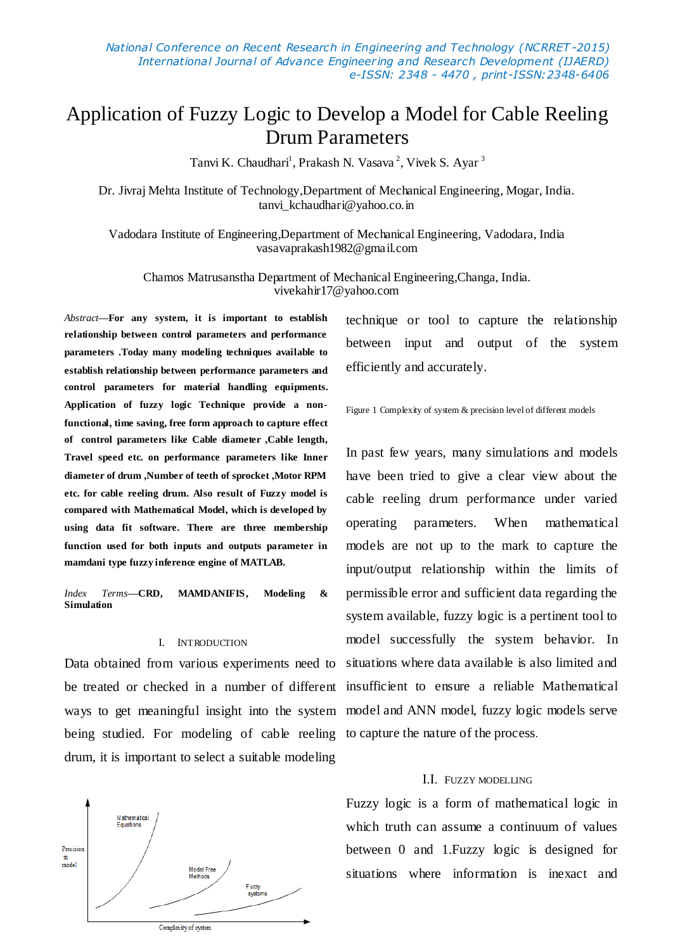# Application of Fuzzy Logic to Develop a Model for Cable Reeling Drum Parameters

Tanvi K. Chaudhari<sup>1</sup>, Prakash N. Vasava<sup>2</sup>, Vivek S. Ayar<sup>3</sup>

Dr. Jivraj Mehta Institute of Technology,Department of Mechanical Engineering, Mogar, India. tanvi kchaudhari@yahoo.co.in

Vadodara Institute of Engineering,Department of Mechanical Engineering, Vadodara, India vasavaprakash1982@gmail.com

Chamos Matrusanstha Department of Mechanical Engineering,Changa, India. vivekahir17@yahoo.com

*Abstract***—For any system, it is important to establish relationship between control parameters and performance parameters .Today many modeling techniques available to establish relationship between performance parameters and control parameters for material handling equipments. Application of fuzzy logic Technique provide a nonfunctional, time saving, free form approach to capture effect of control parameters like Cable diameter ,Cable length, Travel speed etc. on performance parameters like Inner diameter of drum ,Number of teeth of sprocket ,Motor RPM etc. for cable reeling drum. Also result of Fuzzy model is compared with Mathematical Model, which is developed by using data fit software. There are three membership function used for both inputs and outputs parameter in mamdani type fuzzy inference engine of MATLAB.**

*Index Terms***—CRD, MAMDANIFIS, Modeling & Simulation**

# I. INTRODUCTION

be treated or checked in a number of different insufficient to ensure a reliable Mathematical being studied. For modeling of cable reeling to capture the nature of the process. drum, it is important to select a suitable modeling



technique or tool to capture the relationship between input and output of the system efficiently and accurately.

# Figure 1 Complexity of system & precision level of different models

Data obtained from various experiments need to situations where data available is also limited and ways to get meaningful insight into the system model and ANN model, fuzzy logic models serve In past few years, many simulations and models have been tried to give a clear view about the cable reeling drum performance under varied operating parameters. When mathematical models are not up to the mark to capture the input/output relationship within the limits of permissible error and sufficient data regarding the system available, fuzzy logic is a pertinent tool to model successfully the system behavior. In

# Ι.Ι. FUZZY MODELLING

Fuzzy logic is a form of mathematical logic in which truth can assume a continuum of values between 0 and 1.Fuzzy logic is designed for situations where information is inexact and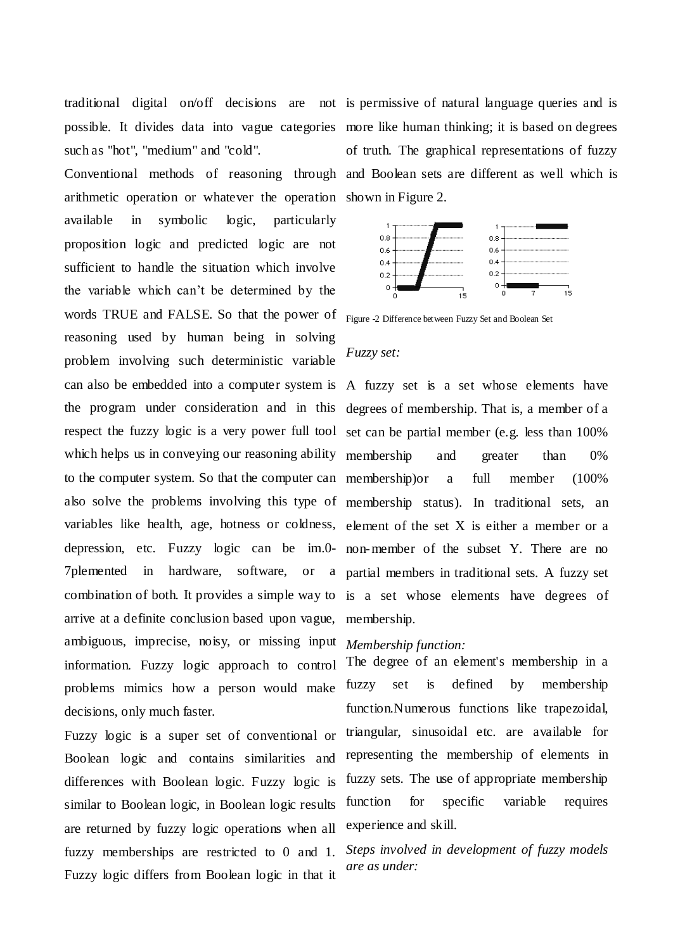traditional digital on/off decisions are not is permissive of natural language queries and is such as "hot", "medium" and "cold".

arithmetic operation or whatever the operation shown in Figure 2. available in symbolic logic, particularly proposition logic and predicted logic are not sufficient to handle the situation which involve the variable which can't be determined by the words TRUE and FALSE. So that the power of Figure -2 Difference between Fuzzy Set and Boolean Set reasoning used by human being in solving problem involving such deterministic variable can also be embedded into a computer system is A fuzzy set is a set whose elements have the program under consideration and in this degrees of membership. That is, a member of a respect the fuzzy logic is a very power full tool set can be partial member (e.g. less than 100% which helps us in conveying our reasoning ability membership and greater than 0% to the computer system. So that the computer can membership)or a full member (100% also solve the problems involving this type of membership status). In traditional sets, an variables like health, age, hotness or coldness, element of the set X is either a member or a depression, etc. Fuzzy logic can be im.0- non-member of the subset Y. There are no 7plemented in hardware, software, or a partial members in traditional sets. A fuzzy set combination of both. It provides a simple way to is a set whose elements have degrees of arrive at a definite conclusion based upon vague, membership. ambiguous, imprecise, noisy, or missing input *Membership function:* information. Fuzzy logic approach to control problems mimics how a person would make decisions, only much faster.

Fuzzy logic is a super set of conventional or Boolean logic and contains similarities and differences with Boolean logic. Fuzzy logic is similar to Boolean logic, in Boolean logic results are returned by fuzzy logic operations when all fuzzy memberships are restricted to 0 and 1. Fuzzy logic differs from Boolean logic in that it

possible. It divides data into vague categories more like human thinking; it is based on degrees Conventional methods of reasoning through and Boolean sets are different as well which is of truth. The graphical representations of fuzzy



## *Fuzzy set:*

The degree of an element's membership in a fuzzy set is defined by membership function.Numerous functions like trapezoidal, triangular, sinusoidal etc. are available for representing the membership of elements in fuzzy sets. The use of appropriate membership function for specific variable requires experience and skill.

*Steps involved in development of fuzzy models are as under:*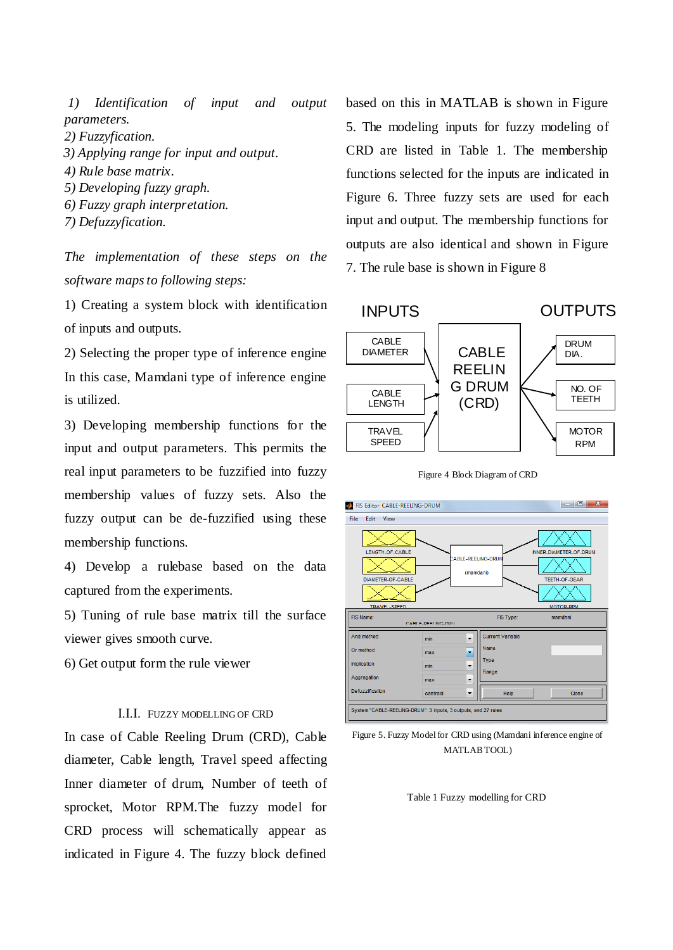*1) Identification of input and output parameters.*

- *2) Fuzzyfication.*
- *3) Applying range for input and output.*
- *4) Rule base matrix.*
- *5) Developing fuzzy graph.*
- *6) Fuzzy graph interpretation.*
- *7) Defuzzyfication.*

*The implementation of these steps on the software maps to following steps:*

1) Creating a system block with identification of inputs and outputs.

2) Selecting the proper type of inference engine In this case, Mamdani type of inference engine is utilized.

3) Developing membership functions for the input and output parameters. This permits the real input parameters to be fuzzified into fuzzy membership values of fuzzy sets. Also the fuzzy output can be de-fuzzified using these membership functions.

4) Develop a rulebase based on the data captured from the experiments.

5) Tuning of rule base matrix till the surface viewer gives smooth curve.

6) Get output form the rule viewer

# Ι.Ι.Ι. FUZZY MODELLING OF CRD

In case of Cable Reeling Drum (CRD), Cable diameter, Cable length, Travel speed affecting Inner diameter of drum, Number of teeth of sprocket, Motor RPM.The fuzzy model for CRD process will schematically appear as indicated in Figure 4. The fuzzy block defined

based on this in MATLAB is shown in Figure 5. The modeling inputs for fuzzy modeling of CRD are listed in Table 1. The membership functions selected for the inputs are indicated in Figure 6. Three fuzzy sets are used for each input and output. The membership functions for outputs are also identical and shown in Figure 7. The rule base is shown in Figure 8



Figure 4 Block Diagram of CRD



Figure 5. Fuzzy Model for CRD using (Mamdani inference engine of MATLAB TOOL)

Table 1 Fuzzy modelling for CRD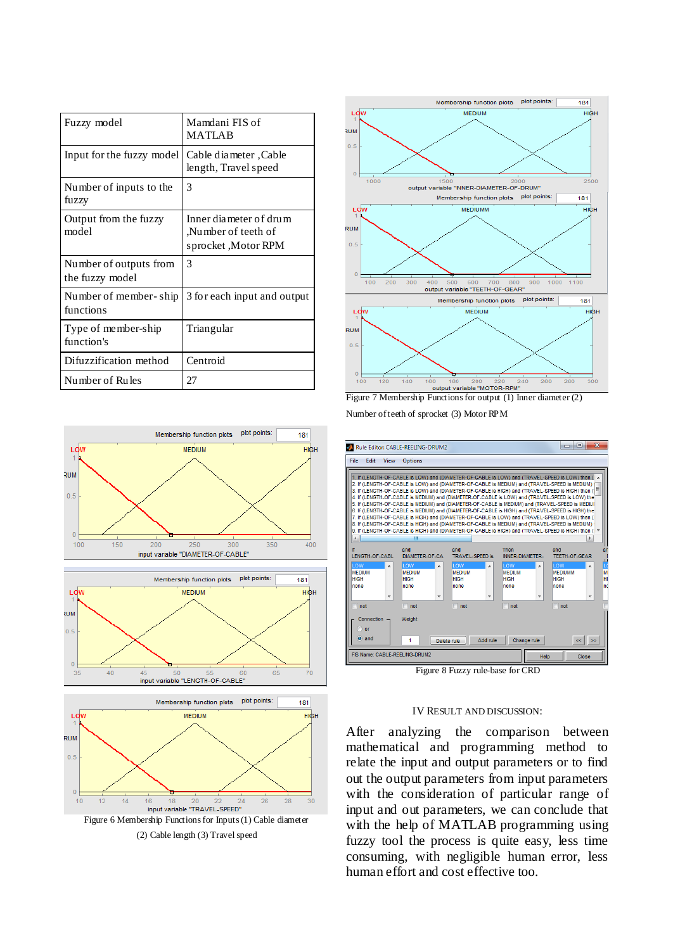| Fuzzy model                               | Mamdani FIS of<br><b>MATLAB</b>                                      |  |  |
|-------------------------------------------|----------------------------------------------------------------------|--|--|
| Input for the fuzzy model                 | Cable diameter .Cable<br>length, Travel speed                        |  |  |
| Number of inputs to the<br>fuzzy          | 3                                                                    |  |  |
| Output from the fuzzy<br>model            | Inner diameter of drum<br>Number of teeth of<br>sprocket , Motor RPM |  |  |
| Number of outputs from<br>the fuzzy model | 3                                                                    |  |  |
| Number of member-ship<br>functions        | 3 for each input and output                                          |  |  |
| Type of member-ship<br>function's         | Triangular                                                           |  |  |
| Difuzzification method                    | Centroid                                                             |  |  |
| Number of Rules                           | 27                                                                   |  |  |





input variable "LENGTH-OF-CABLE"

(2) Cable length (3) Travel speed



Figure 7 Membership Functions for output (1) Inner diameter (2) Number of teeth of sprocket (3) Motor RPM

|                                                                      | Rule Editor: CABLE-REELING-DRUM2                                     |                                                                                                                                                                                                                                                                                                                                                                                                                                                                                                                                                                                                                                                                                                                                                                                                                                                                                                                            |                                                    | $\overline{\mathbf{X}}$<br>同<br>-                                           |
|----------------------------------------------------------------------|----------------------------------------------------------------------|----------------------------------------------------------------------------------------------------------------------------------------------------------------------------------------------------------------------------------------------------------------------------------------------------------------------------------------------------------------------------------------------------------------------------------------------------------------------------------------------------------------------------------------------------------------------------------------------------------------------------------------------------------------------------------------------------------------------------------------------------------------------------------------------------------------------------------------------------------------------------------------------------------------------------|----------------------------------------------------|-----------------------------------------------------------------------------|
| File<br>Edit<br>View                                                 | <b>Options</b>                                                       |                                                                                                                                                                                                                                                                                                                                                                                                                                                                                                                                                                                                                                                                                                                                                                                                                                                                                                                            |                                                    |                                                                             |
| $\epsilon$                                                           | Ш                                                                    | 1. If (LENGTH-OF-CABLE is LOW) and (DIAMETER-OF-CABLE is LOW) and (TRAVEL-SPEED is LOW) then (<br>2. If (LENGTH-OF-CABLE is LOW) and (DIAMETER-OF-CABLE is MEDIUM) and (TRAVEL-SPEED is MEDIUM) (<br>3. If (LENGTH-OF-CABLE is LOW) and (DIAMETER-OF-CABLE is HIGH) and (TRAVEL-SPEED is HIGH) then (<br>4. If (LENGTH-OF-CABLE is MEDIUM) and (DIAMETER-OF-CABLE is LOW) and (TRAVEL-SPEED is LOW) the<br>5. If (LENGTH-OF-CABLE is MEDIUM) and (DIAMETER-OF-CABLE is MEDIUM) and (TRAVEL-SPEED is MEDIUI<br>6. If (LENGTH-OF-CABLE is MEDIUM) and (DIAMETER-OF-CABLE is HIGH) and (TRAVEL-SPEED is HIGH) the<br>7. If (LENGTH-OF-CABLE is HIGH) and (DIAMETER-OF-CABLE is LOW) and (TRAVEL-SPEED is LOW) then (<br>8. If (LENGTH-OF-CABLE is HIGH) and (DIAMETER-OF-CABLE is MEDIUM) and (TRAVEL-SPEED is MEDIUM) t<br>9. If (LENGTH-OF-CABLE is HIGH) and (DIAMETER-OF-CABLE is HIGH) and (TRAVEL-SPEED is HIGH) then ( |                                                    |                                                                             |
| LENGTH-OF-CABL                                                       | and<br>DIAMETER-OF-CA                                                | and<br><b>TRAVEL-SPEED is</b>                                                                                                                                                                                                                                                                                                                                                                                                                                                                                                                                                                                                                                                                                                                                                                                                                                                                                              | Then<br><b>INNER-DIAMETER-</b>                     | and<br><b>TEETH-OF-GEAR</b>                                                 |
| <b>LOW</b><br>$\overline{a}$<br><b>MEDIUM</b><br><b>HIGH</b><br>none | <b>LOW</b><br>$\overline{a}$<br><b>MEDIUM</b><br><b>HIGH</b><br>none | <b>LOW</b><br>À<br><b>MEDIUM</b><br><b>HIGH</b><br>none                                                                                                                                                                                                                                                                                                                                                                                                                                                                                                                                                                                                                                                                                                                                                                                                                                                                    | lı ow<br>À<br><b>MEDIUM</b><br><b>HIGH</b><br>none | lı ow<br>$\lambda$<br>М<br><b>MEDIUMM</b><br>H<br><b>HIGH</b><br>nd<br>none |
| not                                                                  | not                                                                  | ۰<br>not                                                                                                                                                                                                                                                                                                                                                                                                                                                                                                                                                                                                                                                                                                                                                                                                                                                                                                                   | ۰<br>not                                           | г<br>not                                                                    |
| Connection<br>or<br>$o$ and                                          | Weight:<br>1                                                         | Add rule<br>Delete rule                                                                                                                                                                                                                                                                                                                                                                                                                                                                                                                                                                                                                                                                                                                                                                                                                                                                                                    | Change rule                                        | <<∣⇒≽                                                                       |
| FIS Name: CABLE-REELING-DRUM2<br>Help<br>Close                       |                                                                      |                                                                                                                                                                                                                                                                                                                                                                                                                                                                                                                                                                                                                                                                                                                                                                                                                                                                                                                            |                                                    |                                                                             |

Figure 8 Fuzzy rule-base for CRD

# IV RESULT AND DISCUSSION:

After analyzing the comparison between mathematical and programming method to relate the input and output parameters or to find out the output parameters from input parameters with the consideration of particular range of input and out parameters, we can conclude that with the help of MATLAB programming using fuzzy tool the process is quite easy, less time consuming, with negligible human error, less human effort and cost effective too.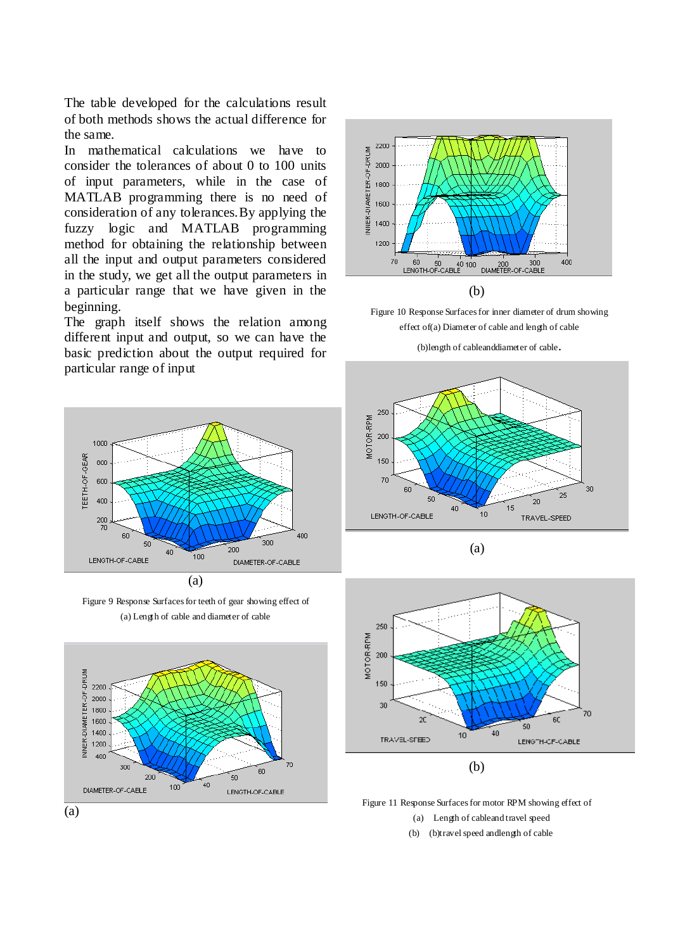The table developed for the calculations result of both methods shows the actual difference for the same.

In mathematical calculations we have to consider the tolerances of about 0 to 100 units of input parameters, while in the case of MATLAB programming there is no need of consideration of any tolerances.By applying the fuzzy logic and MATLAB programming method for obtaining the relationship between all the input and output parameters considered in the study, we get all the output parameters in a particular range that we have given in the beginning.

The graph itself shows the relation among different input and output, so we can have the basic prediction about the output required for particular range of input



Figure 9 Response Surfaces for teeth of gear showing effect of (a) Length of cable and diameter of cable





Figure 10 Response Surfaces for inner diameter of drum showing effect of(a) Diameter of cable and length of cable

(b)length of cableanddiameter of cable.







Figure 11 Response Surfaces for motor RPM showing effect of

(a) Length of cableand travel speed

(b) (b)travel speed andlength of cable